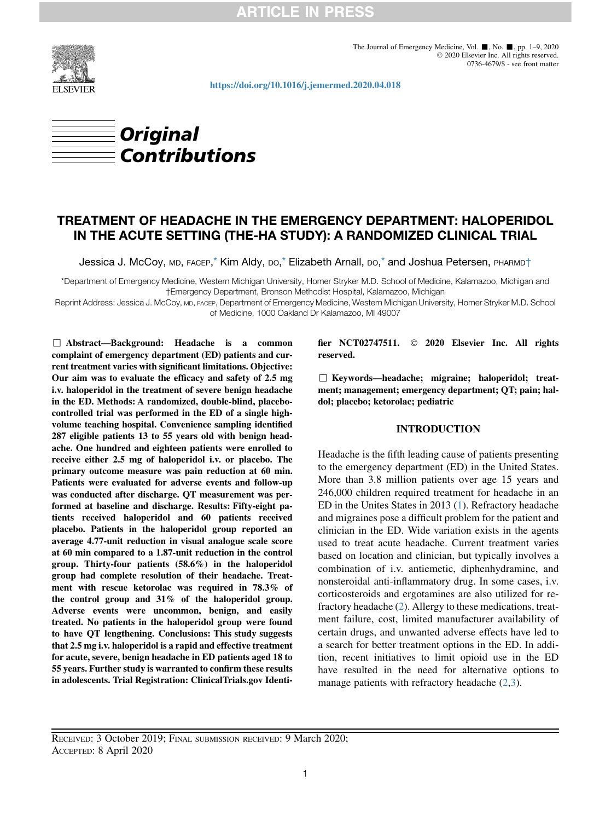**ARTICLE IN PRESS** 



<https://doi.org/10.1016/j.jemermed.2020.04.018>



# TREATMENT OF HEADACHE IN THE EMERGENCY DEPARTMENT: HALOPERIDOL IN THE ACUTE SETTING (THE-HA STUDY): A RANDOMIZED CLINICAL TRIAL

Jessica J. McCoy, MD, FACEP[,\\*](#page-0-0) Kim Aldy, DO[,\\*](#page-0-0) Elizabeth Arnall, DO,[\\*](#page-0-0) and Joshua Petersen, PHARMD†

<span id="page-0-0"></span>\*Department of Emergency Medicine, Western Michigan University, Homer Stryker M.D. School of Medicine, Kalamazoo, Michigan and †Emergency Department, Bronson Methodist Hospital, Kalamazoo, Michigan

Reprint Address: Jessica J. McCoy, MD, FACEP, Department of Emergency Medicine, Western Michigan University, Homer Stryker M.D. School of Medicine, 1000 Oakland Dr Kalamazoo, MI 49007

, Abstract—Background: Headache is a common complaint of emergency department (ED) patients and current treatment varies with significant limitations. Objective: Our aim was to evaluate the efficacy and safety of 2.5 mg i.v. haloperidol in the treatment of severe benign headache in the ED. Methods: A randomized, double-blind, placebocontrolled trial was performed in the ED of a single highvolume teaching hospital. Convenience sampling identified 287 eligible patients 13 to 55 years old with benign headache. One hundred and eighteen patients were enrolled to receive either 2.5 mg of haloperidol i.v. or placebo. The primary outcome measure was pain reduction at 60 min. Patients were evaluated for adverse events and follow-up was conducted after discharge. QT measurement was performed at baseline and discharge. Results: Fifty-eight patients received haloperidol and 60 patients received placebo. Patients in the haloperidol group reported an average 4.77-unit reduction in visual analogue scale score at 60 min compared to a 1.87-unit reduction in the control group. Thirty-four patients (58.6%) in the haloperidol group had complete resolution of their headache. Treatment with rescue ketorolac was required in 78.3% of the control group and 31% of the haloperidol group. Adverse events were uncommon, benign, and easily treated. No patients in the haloperidol group were found to have QT lengthening. Conclusions: This study suggests that 2.5 mg i.v. haloperidol is a rapid and effective treatment for acute, severe, benign headache in ED patients aged 18 to 55 years. Further study is warranted to confirm these results in adolescents. Trial Registration: ClinicalTrials.gov Identifier NCT02747511.  $\odot$  2020 Elsevier Inc. All rights reserved.

 $\Box$  Keywords—headache; migraine; haloperidol; treatment; management; emergency department; QT; pain; haldol; placebo; ketorolac; pediatric

# INTRODUCTION

Headache is the fifth leading cause of patients presenting to the emergency department (ED) in the United States. More than 3.8 million patients over age 15 years and 246,000 children required treatment for headache in an ED in the Unites States in 2013 [\(1](#page-6-0)). Refractory headache and migraines pose a difficult problem for the patient and clinician in the ED. Wide variation exists in the agents used to treat acute headache. Current treatment varies based on location and clinician, but typically involves a combination of i.v. antiemetic, diphenhydramine, and nonsteroidal anti-inflammatory drug. In some cases, i.v. corticosteroids and ergotamines are also utilized for refractory headache [\(2](#page-7-0)). Allergy to these medications, treatment failure, cost, limited manufacturer availability of certain drugs, and unwanted adverse effects have led to a search for better treatment options in the ED. In addition, recent initiatives to limit opioid use in the ED have resulted in the need for alternative options to manage patients with refractory headache  $(2,3)$  $(2,3)$  $(2,3)$ .

RECEIVED: 3 October 2019; FINAL SUBMISSION RECEIVED: 9 March 2020; ACCEPTED: 8 April 2020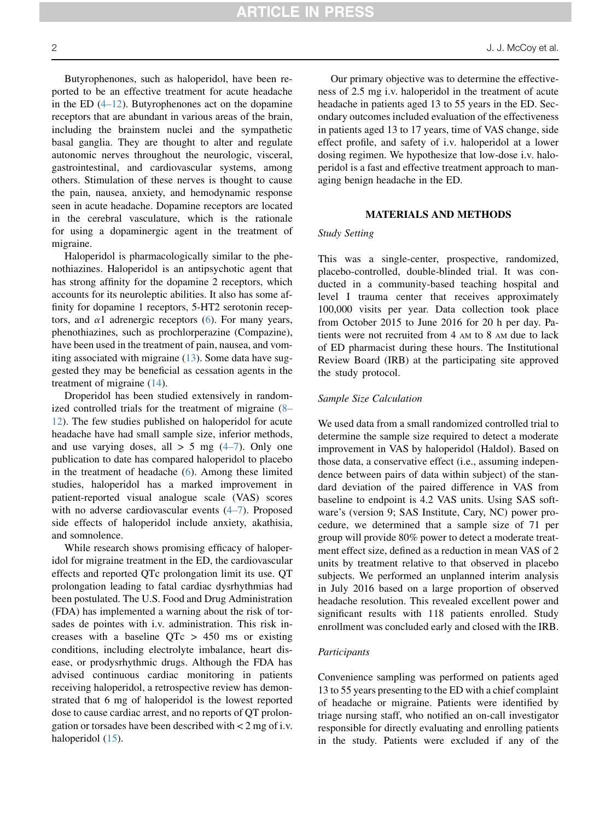**ARTICLE IN PRESS** 

Butyrophenones, such as haloperidol, have been reported to be an effective treatment for acute headache in the ED  $(4-12)$ . Butyrophenones act on the dopamine receptors that are abundant in various areas of the brain, including the brainstem nuclei and the sympathetic basal ganglia. They are thought to alter and regulate autonomic nerves throughout the neurologic, visceral, gastrointestinal, and cardiovascular systems, among others. Stimulation of these nerves is thought to cause the pain, nausea, anxiety, and hemodynamic response seen in acute headache. Dopamine receptors are located in the cerebral vasculature, which is the rationale for using a dopaminergic agent in the treatment of migraine.

Haloperidol is pharmacologically similar to the phenothiazines. Haloperidol is an antipsychotic agent that has strong affinity for the dopamine 2 receptors, which accounts for its neuroleptic abilities. It also has some affinity for dopamine 1 receptors, 5-HT2 serotonin receptors, and  $\alpha$ 1 adrenergic receptors ([6\)](#page-7-3). For many years, phenothiazines, such as prochlorperazine (Compazine), have been used in the treatment of pain, nausea, and vomiting associated with migraine [\(13](#page-7-4)). Some data have suggested they may be beneficial as cessation agents in the treatment of migraine ([14\)](#page-7-5).

Droperidol has been studied extensively in randomized controlled trials for the treatment of migraine [\(8–](#page-7-6) [12\)](#page-7-6). The few studies published on haloperidol for acute headache have had small sample size, inferior methods, and use varying doses, all  $> 5$  mg  $(4-7)$ . Only one publication to date has compared haloperidol to placebo in the treatment of headache ([6\)](#page-7-3). Among these limited studies, haloperidol has a marked improvement in patient-reported visual analogue scale (VAS) scores with no adverse cardiovascular events [\(4–7](#page-7-2)). Proposed side effects of haloperidol include anxiety, akathisia, and somnolence.

While research shows promising efficacy of haloperidol for migraine treatment in the ED, the cardiovascular effects and reported QTc prolongation limit its use. QT prolongation leading to fatal cardiac dysrhythmias had been postulated. The U.S. Food and Drug Administration (FDA) has implemented a warning about the risk of torsades de pointes with i.v. administration. This risk increases with a baseline  $QTc > 450$  ms or existing conditions, including electrolyte imbalance, heart disease, or prodysrhythmic drugs. Although the FDA has advised continuous cardiac monitoring in patients receiving haloperidol, a retrospective review has demonstrated that 6 mg of haloperidol is the lowest reported dose to cause cardiac arrest, and no reports of QT prolongation or torsades have been described with < 2 mg of i.v. haloperidol  $(15)$  $(15)$ .

Our primary objective was to determine the effectiveness of 2.5 mg i.v. haloperidol in the treatment of acute headache in patients aged 13 to 55 years in the ED. Secondary outcomes included evaluation of the effectiveness in patients aged 13 to 17 years, time of VAS change, side effect profile, and safety of i.v. haloperidol at a lower dosing regimen. We hypothesize that low-dose i.v. haloperidol is a fast and effective treatment approach to managing benign headache in the ED.

# MATERIALS AND METHODS

# Study Setting

This was a single-center, prospective, randomized, placebo-controlled, double-blinded trial. It was conducted in a community-based teaching hospital and level I trauma center that receives approximately 100,000 visits per year. Data collection took place from October 2015 to June 2016 for 20 h per day. Patients were not recruited from 4 AM to 8 AM due to lack of ED pharmacist during these hours. The Institutional Review Board (IRB) at the participating site approved the study protocol.

## Sample Size Calculation

We used data from a small randomized controlled trial to determine the sample size required to detect a moderate improvement in VAS by haloperidol (Haldol). Based on those data, a conservative effect (i.e., assuming independence between pairs of data within subject) of the standard deviation of the paired difference in VAS from baseline to endpoint is 4.2 VAS units. Using SAS software's (version 9; SAS Institute, Cary, NC) power procedure, we determined that a sample size of 71 per group will provide 80% power to detect a moderate treatment effect size, defined as a reduction in mean VAS of 2 units by treatment relative to that observed in placebo subjects. We performed an unplanned interim analysis in July 2016 based on a large proportion of observed headache resolution. This revealed excellent power and significant results with 118 patients enrolled. Study enrollment was concluded early and closed with the IRB.

# Participants

Convenience sampling was performed on patients aged 13 to 55 years presenting to the ED with a chief complaint of headache or migraine. Patients were identified by triage nursing staff, who notified an on-call investigator responsible for directly evaluating and enrolling patients in the study. Patients were excluded if any of the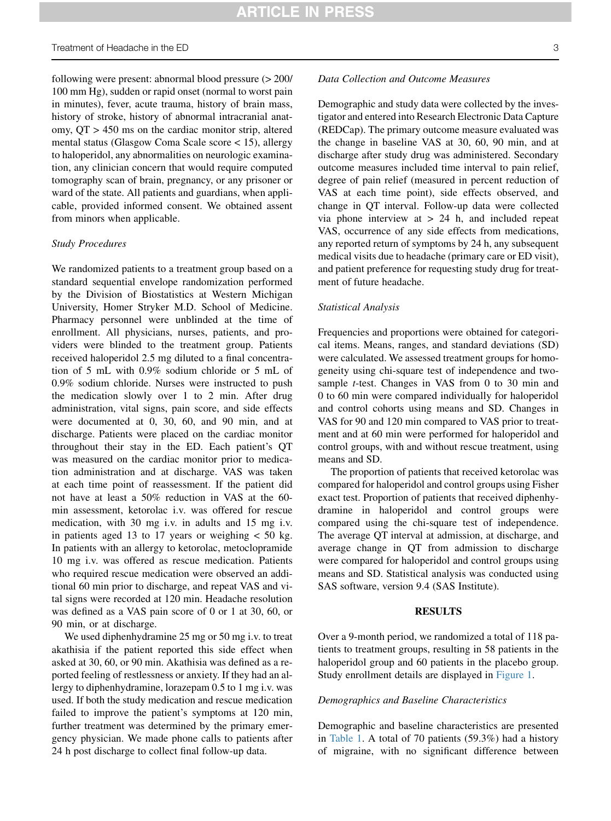following were present: abnormal blood pressure (> 200/ 100 mm Hg), sudden or rapid onset (normal to worst pain in minutes), fever, acute trauma, history of brain mass, history of stroke, history of abnormal intracranial anatomy, QT > 450 ms on the cardiac monitor strip, altered mental status (Glasgow Coma Scale score < 15), allergy to haloperidol, any abnormalities on neurologic examination, any clinician concern that would require computed tomography scan of brain, pregnancy, or any prisoner or ward of the state. All patients and guardians, when applicable, provided informed consent. We obtained assent from minors when applicable.

#### Study Procedures

We randomized patients to a treatment group based on a standard sequential envelope randomization performed by the Division of Biostatistics at Western Michigan University, Homer Stryker M.D. School of Medicine. Pharmacy personnel were unblinded at the time of enrollment. All physicians, nurses, patients, and providers were blinded to the treatment group. Patients received haloperidol 2.5 mg diluted to a final concentration of 5 mL with 0.9% sodium chloride or 5 mL of 0.9% sodium chloride. Nurses were instructed to push the medication slowly over 1 to 2 min. After drug administration, vital signs, pain score, and side effects were documented at 0, 30, 60, and 90 min, and at discharge. Patients were placed on the cardiac monitor throughout their stay in the ED. Each patient's QT was measured on the cardiac monitor prior to medication administration and at discharge. VAS was taken at each time point of reassessment. If the patient did not have at least a 50% reduction in VAS at the 60 min assessment, ketorolac i.v. was offered for rescue medication, with 30 mg i.v. in adults and 15 mg i.v. in patients aged 13 to 17 years or weighing  $< 50$  kg. In patients with an allergy to ketorolac, metoclopramide 10 mg i.v. was offered as rescue medication. Patients who required rescue medication were observed an additional 60 min prior to discharge, and repeat VAS and vital signs were recorded at 120 min. Headache resolution was defined as a VAS pain score of 0 or 1 at 30, 60, or 90 min, or at discharge.

We used diphenhydramine 25 mg or 50 mg i.v. to treat akathisia if the patient reported this side effect when asked at 30, 60, or 90 min. Akathisia was defined as a reported feeling of restlessness or anxiety. If they had an allergy to diphenhydramine, lorazepam 0.5 to 1 mg i.v. was used. If both the study medication and rescue medication failed to improve the patient's symptoms at 120 min, further treatment was determined by the primary emergency physician. We made phone calls to patients after 24 h post discharge to collect final follow-up data.

#### Data Collection and Outcome Measures

Demographic and study data were collected by the investigator and entered into Research Electronic Data Capture (REDCap). The primary outcome measure evaluated was the change in baseline VAS at 30, 60, 90 min, and at discharge after study drug was administered. Secondary outcome measures included time interval to pain relief, degree of pain relief (measured in percent reduction of VAS at each time point), side effects observed, and change in QT interval. Follow-up data were collected via phone interview at > 24 h, and included repeat VAS, occurrence of any side effects from medications, any reported return of symptoms by 24 h, any subsequent medical visits due to headache (primary care or ED visit), and patient preference for requesting study drug for treatment of future headache.

### Statistical Analysis

Frequencies and proportions were obtained for categorical items. Means, ranges, and standard deviations (SD) were calculated. We assessed treatment groups for homogeneity using chi-square test of independence and twosample *t*-test. Changes in VAS from 0 to 30 min and 0 to 60 min were compared individually for haloperidol and control cohorts using means and SD. Changes in VAS for 90 and 120 min compared to VAS prior to treatment and at 60 min were performed for haloperidol and control groups, with and without rescue treatment, using means and SD.

The proportion of patients that received ketorolac was compared for haloperidol and control groups using Fisher exact test. Proportion of patients that received diphenhydramine in haloperidol and control groups were compared using the chi-square test of independence. The average QT interval at admission, at discharge, and average change in QT from admission to discharge were compared for haloperidol and control groups using means and SD. Statistical analysis was conducted using SAS software, version 9.4 (SAS Institute).

### RESULTS

Over a 9-month period, we randomized a total of 118 patients to treatment groups, resulting in 58 patients in the haloperidol group and 60 patients in the placebo group. Study enrollment details are displayed in [Figure 1.](#page-3-0)

# Demographics and Baseline Characteristics

Demographic and baseline characteristics are presented in [Table 1](#page-3-1). A total of 70 patients (59.3%) had a history of migraine, with no significant difference between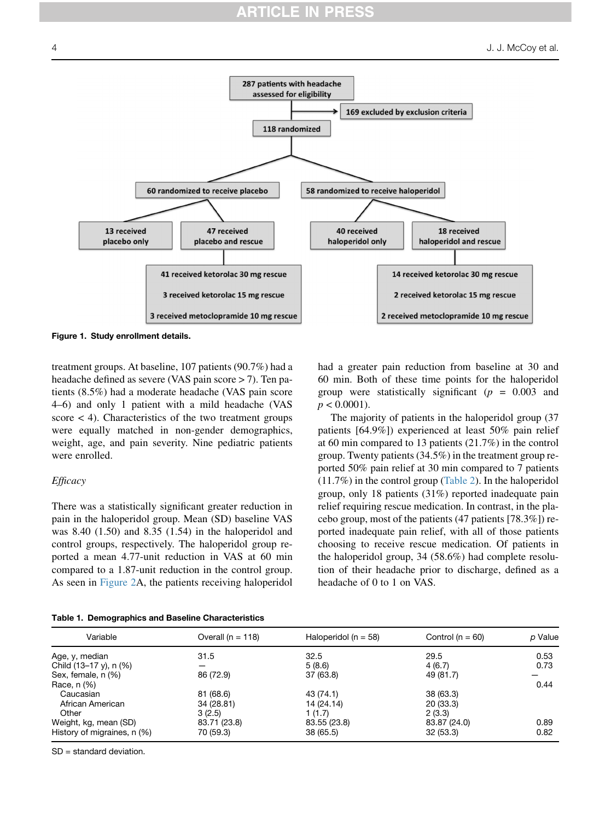<span id="page-3-0"></span>

Figure 1. Study enrollment details.

treatment groups. At baseline, 107 patients (90.7%) had a headache defined as severe (VAS pain score > 7). Ten patients (8.5%) had a moderate headache (VAS pain score 4–6) and only 1 patient with a mild headache (VAS score  $\lt$  4). Characteristics of the two treatment groups were equally matched in non-gender demographics, weight, age, and pain severity. Nine pediatric patients were enrolled.

# **Efficacy**

There was a statistically significant greater reduction in pain in the haloperidol group. Mean (SD) baseline VAS was 8.40 (1.50) and 8.35 (1.54) in the haloperidol and control groups, respectively. The haloperidol group reported a mean 4.77-unit reduction in VAS at 60 min compared to a 1.87-unit reduction in the control group. As seen in [Figure 2](#page-4-0)A, the patients receiving haloperidol had a greater pain reduction from baseline at 30 and 60 min. Both of these time points for the haloperidol group were statistically significant ( $p = 0.003$  and  $p < 0.0001$ ).

The majority of patients in the haloperidol group (37 patients [64.9%]) experienced at least 50% pain relief at 60 min compared to 13 patients (21.7%) in the control group. Twenty patients (34.5%) in the treatment group reported 50% pain relief at 30 min compared to 7 patients (11.7%) in the control group ([Table 2](#page-5-0)). In the haloperidol group, only 18 patients (31%) reported inadequate pain relief requiring rescue medication. In contrast, in the placebo group, most of the patients (47 patients [78.3%]) reported inadequate pain relief, with all of those patients choosing to receive rescue medication. Of patients in the haloperidol group, 34 (58.6%) had complete resolution of their headache prior to discharge, defined as a headache of 0 to 1 on VAS.

<span id="page-3-1"></span>

| Table 1. Demographics and Baseline Characteristics |  |
|----------------------------------------------------|--|
|----------------------------------------------------|--|

| Variable                    | Overall ( $n = 118$ ) | Haloperidol ( $n = 58$ ) | Control ( $n = 60$ ) | p Value |
|-----------------------------|-----------------------|--------------------------|----------------------|---------|
| Age, y, median              | 31.5                  | 32.5                     | 29.5                 | 0.53    |
| Child (13-17 y), n (%)      |                       | 5(8.6)                   | 4(6.7)               | 0.73    |
| Sex, female, n (%)          | 86 (72.9)             | 37 (63.8)                | 49 (81.7)            |         |
| Race, n (%)                 |                       |                          |                      | 0.44    |
| Caucasian                   | 81 (68.6)             | 43 (74.1)                | 38 (63.3)            |         |
| African American            | 34 (28.81)            | 14 (24.14)               | 20 (33.3)            |         |
| Other                       | 3(2.5)                | 1(1.7)                   | 2(3.3)               |         |
| Weight, kg, mean (SD)       | 83.71 (23.8)          | 83.55 (23.8)             | 83.87 (24.0)         | 0.89    |
| History of migraines, n (%) | 70 (59.3)             | 38 (65.5)                | 32(53.3)             | 0.82    |

SD = standard deviation.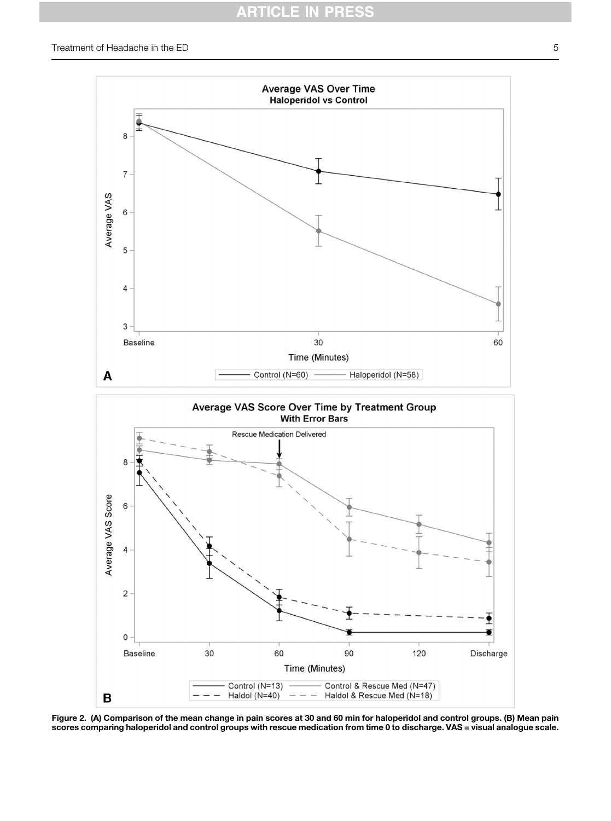# RTICLE IN PRESS

<span id="page-4-0"></span>

Figure 2. (A) Comparison of the mean change in pain scores at 30 and 60 min for haloperidol and control groups. (B) Mean pain scores comparing haloperidol and control groups with rescue medication from time 0 to discharge. VAS = visual analogue scale.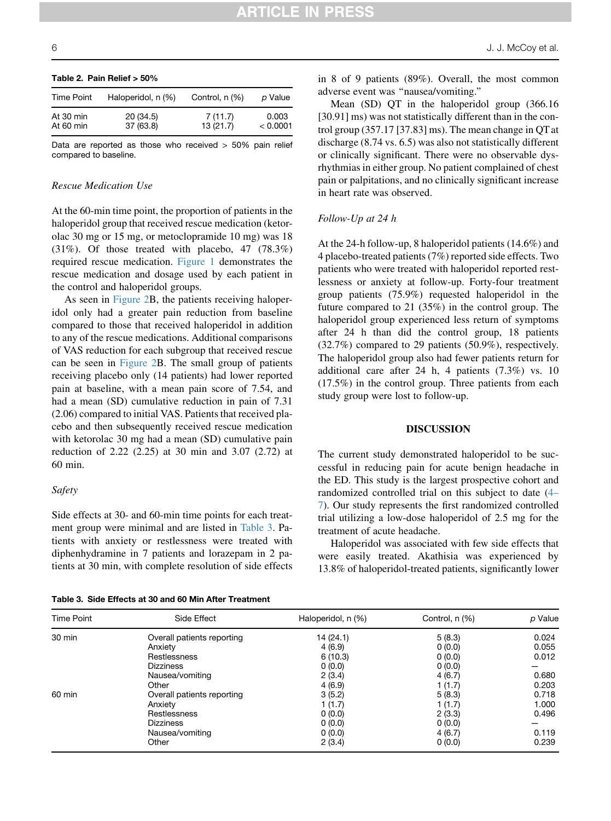| Time Point             | Haloperidol, n (%)     | Control, n (%)      | p Value           |
|------------------------|------------------------|---------------------|-------------------|
| At 30 min<br>At 60 min | 20 (34.5)<br>37 (63.8) | 7(11.7)<br>13(21.7) | 0.003<br>< 0.0001 |

# <span id="page-5-0"></span>Table 2. Pain Relief > 50%

Data are reported as those who received  $> 50\%$  pain relief compared to baseline.

### Rescue Medication Use

At the 60-min time point, the proportion of patients in the haloperidol group that received rescue medication (ketorolac 30 mg or 15 mg, or metoclopramide 10 mg) was 18 (31%). Of those treated with placebo, 47 (78.3%) required rescue medication. [Figure 1](#page-3-0) demonstrates the rescue medication and dosage used by each patient in the control and haloperidol groups.

As seen in [Figure 2B](#page-4-0), the patients receiving haloperidol only had a greater pain reduction from baseline compared to those that received haloperidol in addition to any of the rescue medications. Additional comparisons of VAS reduction for each subgroup that received rescue can be seen in [Figure 2B](#page-4-0). The small group of patients receiving placebo only (14 patients) had lower reported pain at baseline, with a mean pain score of 7.54, and had a mean (SD) cumulative reduction in pain of 7.31 (2.06) compared to initial VAS. Patients that received placebo and then subsequently received rescue medication with ketorolac 30 mg had a mean (SD) cumulative pain reduction of 2.22 (2.25) at 30 min and 3.07 (2.72) at 60 min.

#### Safety

Side effects at 30- and 60-min time points for each treatment group were minimal and are listed in [Table 3](#page-5-1). Patients with anxiety or restlessness were treated with diphenhydramine in 7 patients and lorazepam in 2 patients at 30 min, with complete resolution of side effects

<span id="page-5-1"></span>Table 3. Side Effects at 30 and 60 Min After Treatment

in 8 of 9 patients (89%). Overall, the most common adverse event was ''nausea/vomiting.''

Mean (SD) QT in the haloperidol group (366.16 [30.91] ms) was not statistically different than in the control group (357.17 [37.83] ms). The mean change in QT at discharge (8.74 vs. 6.5) was also not statistically different or clinically significant. There were no observable dysrhythmias in either group. No patient complained of chest pain or palpitations, and no clinically significant increase in heart rate was observed.

#### Follow-Up at 24 h

At the 24-h follow-up, 8 haloperidol patients (14.6%) and 4 placebo-treated patients (7%) reported side effects. Two patients who were treated with haloperidol reported restlessness or anxiety at follow-up. Forty-four treatment group patients (75.9%) requested haloperidol in the future compared to 21 (35%) in the control group. The haloperidol group experienced less return of symptoms after 24 h than did the control group, 18 patients (32.7%) compared to 29 patients (50.9%), respectively. The haloperidol group also had fewer patients return for additional care after 24 h, 4 patients (7.3%) vs. 10 (17.5%) in the control group. Three patients from each study group were lost to follow-up.

#### DISCUSSION

The current study demonstrated haloperidol to be successful in reducing pain for acute benign headache in the ED. This study is the largest prospective cohort and randomized controlled trial on this subject to date [\(4–](#page-7-2) [7\)](#page-7-2). Our study represents the first randomized controlled trial utilizing a low-dose haloperidol of 2.5 mg for the treatment of acute headache.

Haloperidol was associated with few side effects that were easily treated. Akathisia was experienced by 13.8% of haloperidol-treated patients, significantly lower

| Time Point | Side Effect                | Haloperidol, n (%) | Control, n (%) | p Value |
|------------|----------------------------|--------------------|----------------|---------|
| 30 min     | Overall patients reporting | 14(24.1)           | 5(8.3)         | 0.024   |
|            | Anxiety                    | 4(6.9)             | 0(0.0)         | 0.055   |
|            | Restlessness               | 6(10.3)            | 0(0.0)         | 0.012   |
|            | <b>Dizziness</b>           | 0(0.0)             | 0(0.0)         |         |
|            | Nausea/vomiting            | 2(3.4)             | 4(6.7)         | 0.680   |
|            | Other                      | 4(6.9)             | 1(1.7)         | 0.203   |
| 60 min     | Overall patients reporting | 3(5.2)             | 5(8.3)         | 0.718   |
|            | Anxiety                    | 1(1.7)             | 1(1.7)         | 1.000   |
|            | Restlessness               | 0(0.0)             | 2(3.3)         | 0.496   |
|            | <b>Dizziness</b>           | 0(0.0)             | 0(0.0)         |         |
|            | Nausea/vomiting            | 0(0.0)             | 4(6.7)         | 0.119   |
|            | Other                      | 2(3.4)             | 0(0.0)         | 0.239   |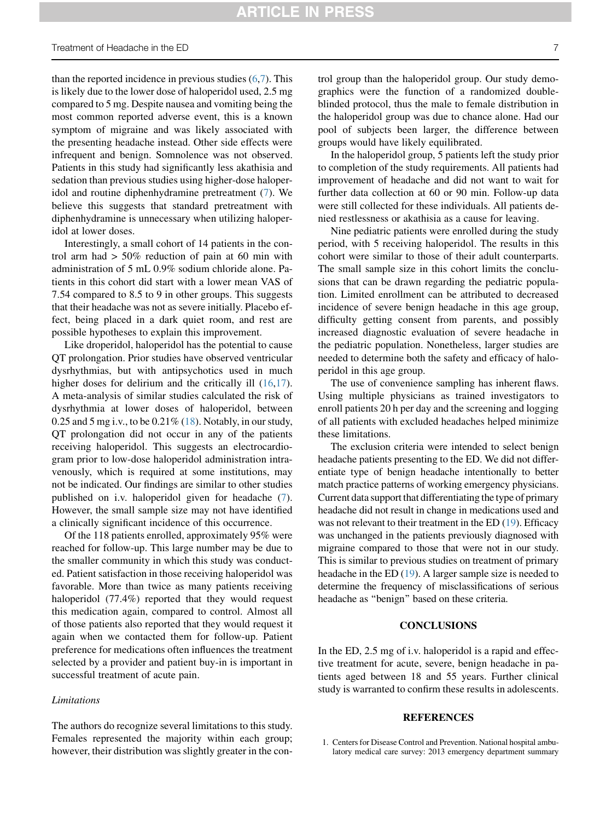# Treatment of Headache in the ED 7

than the reported incidence in previous studies  $(6,7)$  $(6,7)$  $(6,7)$  $(6,7)$ . This is likely due to the lower dose of haloperidol used, 2.5 mg compared to 5 mg. Despite nausea and vomiting being the most common reported adverse event, this is a known symptom of migraine and was likely associated with the presenting headache instead. Other side effects were infrequent and benign. Somnolence was not observed. Patients in this study had significantly less akathisia and sedation than previous studies using higher-dose haloperidol and routine diphenhydramine pretreatment ([7\)](#page-7-8). We believe this suggests that standard pretreatment with diphenhydramine is unnecessary when utilizing haloperidol at lower doses.

Interestingly, a small cohort of 14 patients in the control arm had  $> 50\%$  reduction of pain at 60 min with administration of 5 mL 0.9% sodium chloride alone. Patients in this cohort did start with a lower mean VAS of 7.54 compared to 8.5 to 9 in other groups. This suggests that their headache was not as severe initially. Placebo effect, being placed in a dark quiet room, and rest are possible hypotheses to explain this improvement.

Like droperidol, haloperidol has the potential to cause QT prolongation. Prior studies have observed ventricular dysrhythmias, but with antipsychotics used in much higher doses for delirium and the critically ill  $(16,17)$  $(16,17)$  $(16,17)$  $(16,17)$ . A meta-analysis of similar studies calculated the risk of dysrhythmia at lower doses of haloperidol, between 0.25 and 5 mg i.v., to be  $0.21\%$  [\(18](#page-7-11)). Notably, in our study, QT prolongation did not occur in any of the patients receiving haloperidol. This suggests an electrocardiogram prior to low-dose haloperidol administration intravenously, which is required at some institutions, may not be indicated. Our findings are similar to other studies published on i.v. haloperidol given for headache [\(7](#page-7-8)). However, the small sample size may not have identified a clinically significant incidence of this occurrence.

Of the 118 patients enrolled, approximately 95% were reached for follow-up. This large number may be due to the smaller community in which this study was conducted. Patient satisfaction in those receiving haloperidol was favorable. More than twice as many patients receiving haloperidol (77.4%) reported that they would request this medication again, compared to control. Almost all of those patients also reported that they would request it again when we contacted them for follow-up. Patient preference for medications often influences the treatment selected by a provider and patient buy-in is important in successful treatment of acute pain.

# Limitations

The authors do recognize several limitations to this study. Females represented the majority within each group; however, their distribution was slightly greater in the control group than the haloperidol group. Our study demographics were the function of a randomized doubleblinded protocol, thus the male to female distribution in the haloperidol group was due to chance alone. Had our pool of subjects been larger, the difference between groups would have likely equilibrated.

In the haloperidol group, 5 patients left the study prior to completion of the study requirements. All patients had improvement of headache and did not want to wait for further data collection at 60 or 90 min. Follow-up data were still collected for these individuals. All patients denied restlessness or akathisia as a cause for leaving.

Nine pediatric patients were enrolled during the study period, with 5 receiving haloperidol. The results in this cohort were similar to those of their adult counterparts. The small sample size in this cohort limits the conclusions that can be drawn regarding the pediatric population. Limited enrollment can be attributed to decreased incidence of severe benign headache in this age group, difficulty getting consent from parents, and possibly increased diagnostic evaluation of severe headache in the pediatric population. Nonetheless, larger studies are needed to determine both the safety and efficacy of haloperidol in this age group.

The use of convenience sampling has inherent flaws. Using multiple physicians as trained investigators to enroll patients 20 h per day and the screening and logging of all patients with excluded headaches helped minimize these limitations.

The exclusion criteria were intended to select benign headache patients presenting to the ED. We did not differentiate type of benign headache intentionally to better match practice patterns of working emergency physicians. Current data support that differentiating the type of primary headache did not result in change in medications used and was not relevant to their treatment in the ED ([19\)](#page-7-12). Efficacy was unchanged in the patients previously diagnosed with migraine compared to those that were not in our study. This is similar to previous studies on treatment of primary headache in the ED [\(19](#page-7-12)). A larger sample size is needed to determine the frequency of misclassifications of serious headache as ''benign'' based on these criteria.

# **CONCLUSIONS**

In the ED, 2.5 mg of i.v. haloperidol is a rapid and effective treatment for acute, severe, benign headache in patients aged between 18 and 55 years. Further clinical study is warranted to confirm these results in adolescents.

#### **REFERENCES**

<span id="page-6-0"></span><sup>1.</sup> Centers for Disease Control and Prevention. National hospital ambulatory medical care survey: 2013 emergency department summary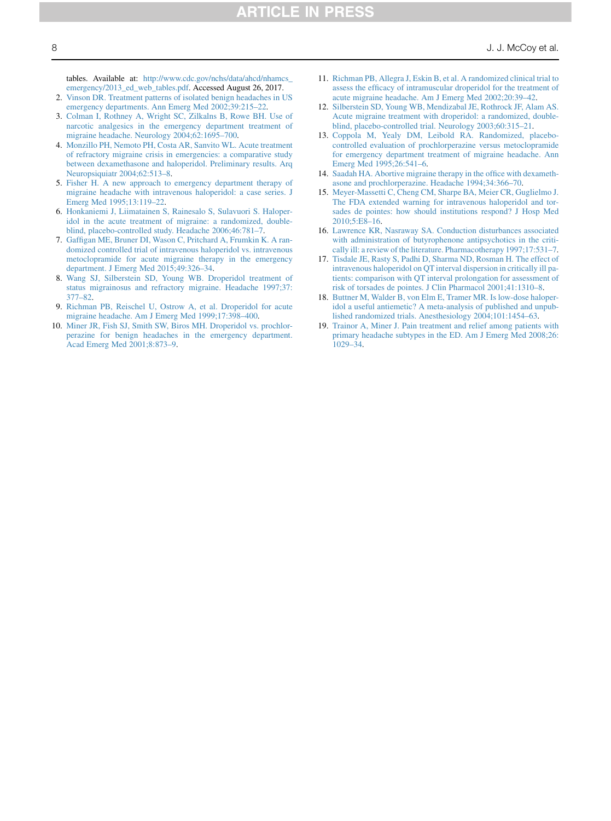tables. Available at: [http://www.cdc.gov/nchs/data/ahcd/nhamcs\\_](http://www.cdc.gov/nchs/data/ahcd/nhamcs_emergency/2013_ed_web_tables.pdf) [emergency/2013\\_ed\\_web\\_tables.pdf.](http://www.cdc.gov/nchs/data/ahcd/nhamcs_emergency/2013_ed_web_tables.pdf) Accessed August 26, 2017.

- <span id="page-7-0"></span>2. [Vinson DR. Treatment patterns of isolated benign headaches in US](http://refhub.elsevier.com/S0736-4679(20)30349-8/sref2) [emergency departments. Ann Emerg Med 2002;39:215–22](http://refhub.elsevier.com/S0736-4679(20)30349-8/sref2).
- <span id="page-7-1"></span>3. [Colman I, Rothney A, Wright SC, Zilkalns B, Rowe BH. Use of](http://refhub.elsevier.com/S0736-4679(20)30349-8/sref3) [narcotic analgesics in the emergency department treatment of](http://refhub.elsevier.com/S0736-4679(20)30349-8/sref3) [migraine headache. Neurology 2004;62:1695–700.](http://refhub.elsevier.com/S0736-4679(20)30349-8/sref3)
- <span id="page-7-2"></span>4. [Monzillo PH, Nemoto PH, Costa AR, Sanvito WL. Acute treatment](http://refhub.elsevier.com/S0736-4679(20)30349-8/sref4) [of refractory migraine crisis in emergencies: a comparative study](http://refhub.elsevier.com/S0736-4679(20)30349-8/sref4) [between dexamethasone and haloperidol. Preliminary results. Arq](http://refhub.elsevier.com/S0736-4679(20)30349-8/sref4) [Neuropsiquiatr 2004;62:513–8.](http://refhub.elsevier.com/S0736-4679(20)30349-8/sref4)
- 5. [Fisher H. A new approach to emergency department therapy of](http://refhub.elsevier.com/S0736-4679(20)30349-8/sref5) [migraine headache with intravenous haloperidol: a case series. J](http://refhub.elsevier.com/S0736-4679(20)30349-8/sref5) [Emerg Med 1995;13:119–22](http://refhub.elsevier.com/S0736-4679(20)30349-8/sref5).
- <span id="page-7-3"></span>6. [Honkaniemi J, Liimatainen S, Rainesalo S, Sulavuori S. Haloper](http://refhub.elsevier.com/S0736-4679(20)30349-8/sref6)[idol in the acute treatment of migraine: a randomized, double](http://refhub.elsevier.com/S0736-4679(20)30349-8/sref6)[blind, placebo-controlled study. Headache 2006;46:781–7](http://refhub.elsevier.com/S0736-4679(20)30349-8/sref6).
- <span id="page-7-8"></span>7. [Gaffigan ME, Bruner DI, Wason C, Pritchard A, Frumkin K. A ran](http://refhub.elsevier.com/S0736-4679(20)30349-8/sref7)[domized controlled trial of intravenous haloperidol vs. intravenous](http://refhub.elsevier.com/S0736-4679(20)30349-8/sref7) [metoclopramide for acute migraine therapy in the emergency](http://refhub.elsevier.com/S0736-4679(20)30349-8/sref7) [department. J Emerg Med 2015;49:326–34](http://refhub.elsevier.com/S0736-4679(20)30349-8/sref7).
- <span id="page-7-6"></span>8. [Wang SJ, Silberstein SD, Young WB. Droperidol treatment of](http://refhub.elsevier.com/S0736-4679(20)30349-8/sref8) [status migrainosus and refractory migraine. Headache 1997;37:](http://refhub.elsevier.com/S0736-4679(20)30349-8/sref8) [377–82](http://refhub.elsevier.com/S0736-4679(20)30349-8/sref8).
- 9. [Richman PB, Reischel U, Ostrow A, et al. Droperidol for acute](http://refhub.elsevier.com/S0736-4679(20)30349-8/sref9) [migraine headache. Am J Emerg Med 1999;17:398–400.](http://refhub.elsevier.com/S0736-4679(20)30349-8/sref9)
- 10. [Miner JR, Fish SJ, Smith SW, Biros MH. Droperidol vs. prochlor](http://refhub.elsevier.com/S0736-4679(20)30349-8/sref10)[perazine for benign headaches in the emergency department.](http://refhub.elsevier.com/S0736-4679(20)30349-8/sref10) [Acad Emerg Med 2001;8:873–9](http://refhub.elsevier.com/S0736-4679(20)30349-8/sref10).
- 11. [Richman PB, Allegra J, Eskin B, et al. A randomized clinical trial to](http://refhub.elsevier.com/S0736-4679(20)30349-8/sref11) [assess the efficacy of intramuscular droperidol for the treatment of](http://refhub.elsevier.com/S0736-4679(20)30349-8/sref11) [acute migraine headache. Am J Emerg Med 2002;20:39–42](http://refhub.elsevier.com/S0736-4679(20)30349-8/sref11).
- 12. [Silberstein SD, Young WB, Mendizabal JE, Rothrock JF, Alam AS.](http://refhub.elsevier.com/S0736-4679(20)30349-8/sref12) [Acute migraine treatment with droperidol: a randomized, double](http://refhub.elsevier.com/S0736-4679(20)30349-8/sref12)[blind, placebo-controlled trial. Neurology 2003;60:315–21.](http://refhub.elsevier.com/S0736-4679(20)30349-8/sref12)
- <span id="page-7-4"></span>13. [Coppola M, Yealy DM, Leibold RA. Randomized, placebo](http://refhub.elsevier.com/S0736-4679(20)30349-8/sref13)[controlled evaluation of prochlorperazine versus metoclopramide](http://refhub.elsevier.com/S0736-4679(20)30349-8/sref13) [for emergency department treatment of migraine headache. Ann](http://refhub.elsevier.com/S0736-4679(20)30349-8/sref13) [Emerg Med 1995;26:541–6](http://refhub.elsevier.com/S0736-4679(20)30349-8/sref13).
- <span id="page-7-5"></span>14. [Saadah HA. Abortive migraine therapy in the office with dexameth](http://refhub.elsevier.com/S0736-4679(20)30349-8/sref14)[asone and prochlorperazine. Headache 1994;34:366–70.](http://refhub.elsevier.com/S0736-4679(20)30349-8/sref14)
- <span id="page-7-7"></span>15. [Meyer-Massetti C, Cheng CM, Sharpe BA, Meier CR, Guglielmo J.](http://refhub.elsevier.com/S0736-4679(20)30349-8/sref15) [The FDA extended warning for intravenous haloperidol and tor](http://refhub.elsevier.com/S0736-4679(20)30349-8/sref15)[sades de pointes: how should institutions respond? J Hosp Med](http://refhub.elsevier.com/S0736-4679(20)30349-8/sref15) [2010;5:E8–16.](http://refhub.elsevier.com/S0736-4679(20)30349-8/sref15)
- <span id="page-7-9"></span>16. [Lawrence KR, Nasraway SA. Conduction disturbances associated](http://refhub.elsevier.com/S0736-4679(20)30349-8/sref16) [with administration of butyrophenone antipsychotics in the criti](http://refhub.elsevier.com/S0736-4679(20)30349-8/sref16)[cally ill: a review of the literature. Pharmacotherapy 1997;17:531–7](http://refhub.elsevier.com/S0736-4679(20)30349-8/sref16).
- <span id="page-7-10"></span>17. [Tisdale JE, Rasty S, Padhi D, Sharma ND, Rosman H. The effect of](http://refhub.elsevier.com/S0736-4679(20)30349-8/sref17) [intravenous haloperidol on QT interval dispersion in critically ill pa](http://refhub.elsevier.com/S0736-4679(20)30349-8/sref17)[tients: comparison with QT interval prolongation for assessment of](http://refhub.elsevier.com/S0736-4679(20)30349-8/sref17) [risk of torsades de pointes. J Clin Pharmacol 2001;41:1310–8.](http://refhub.elsevier.com/S0736-4679(20)30349-8/sref17)
- <span id="page-7-11"></span>18. [Buttner M, Walder B, von Elm E, Tramer MR. Is low-dose haloper](http://refhub.elsevier.com/S0736-4679(20)30349-8/sref18)[idol a useful antiemetic? A meta-analysis of published and unpub](http://refhub.elsevier.com/S0736-4679(20)30349-8/sref18)[lished randomized trials. Anesthesiology 2004;101:1454–63.](http://refhub.elsevier.com/S0736-4679(20)30349-8/sref18)
- <span id="page-7-12"></span>19. [Trainor A, Miner J. Pain treatment and relief among patients with](http://refhub.elsevier.com/S0736-4679(20)30349-8/sref19) [primary headache subtypes in the ED. Am J Emerg Med 2008;26:](http://refhub.elsevier.com/S0736-4679(20)30349-8/sref19) [1029–34.](http://refhub.elsevier.com/S0736-4679(20)30349-8/sref19)